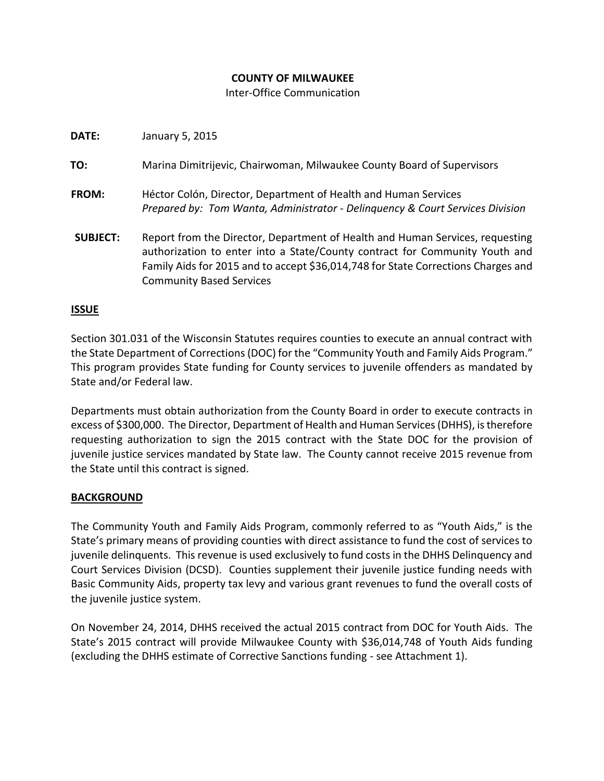# **COUNTY OF MILWAUKEE**

## Inter-Office Communication

| DATE:           | January 5, 2015                                                                                                                                                                                                                                                                      |
|-----------------|--------------------------------------------------------------------------------------------------------------------------------------------------------------------------------------------------------------------------------------------------------------------------------------|
| TO:             | Marina Dimitrijevic, Chairwoman, Milwaukee County Board of Supervisors                                                                                                                                                                                                               |
| <b>FROM:</b>    | Héctor Colón, Director, Department of Health and Human Services<br>Prepared by: Tom Wanta, Administrator - Delinguency & Court Services Division                                                                                                                                     |
| <b>SUBJECT:</b> | Report from the Director, Department of Health and Human Services, requesting<br>authorization to enter into a State/County contract for Community Youth and<br>Family Aids for 2015 and to accept \$36,014,748 for State Corrections Charges and<br><b>Community Based Services</b> |

## **ISSUE**

Section 301.031 of the Wisconsin Statutes requires counties to execute an annual contract with the State Department of Corrections (DOC) for the "Community Youth and Family Aids Program." This program provides State funding for County services to juvenile offenders as mandated by State and/or Federal law.

Departments must obtain authorization from the County Board in order to execute contracts in excess of \$300,000. The Director, Department of Health and Human Services (DHHS), is therefore requesting authorization to sign the 2015 contract with the State DOC for the provision of juvenile justice services mandated by State law. The County cannot receive 2015 revenue from the State until this contract is signed.

#### **BACKGROUND**

The Community Youth and Family Aids Program, commonly referred to as "Youth Aids," is the State's primary means of providing counties with direct assistance to fund the cost of services to juvenile delinquents. This revenue is used exclusively to fund costs in the DHHS Delinquency and Court Services Division (DCSD). Counties supplement their juvenile justice funding needs with Basic Community Aids, property tax levy and various grant revenues to fund the overall costs of the juvenile justice system.

On November 24, 2014, DHHS received the actual 2015 contract from DOC for Youth Aids. The State's 2015 contract will provide Milwaukee County with \$36,014,748 of Youth Aids funding (excluding the DHHS estimate of Corrective Sanctions funding - see Attachment 1).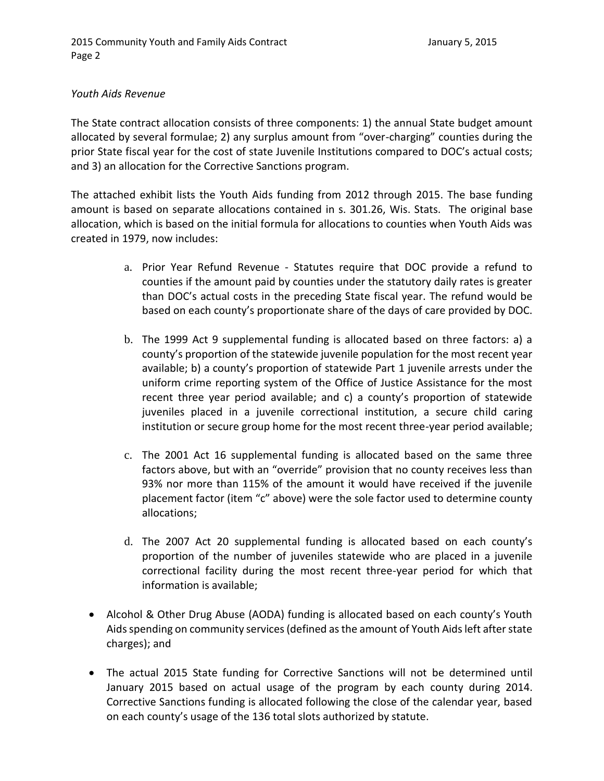## *Youth Aids Revenue*

The State contract allocation consists of three components: 1) the annual State budget amount allocated by several formulae; 2) any surplus amount from "over-charging" counties during the prior State fiscal year for the cost of state Juvenile Institutions compared to DOC's actual costs; and 3) an allocation for the Corrective Sanctions program.

The attached exhibit lists the Youth Aids funding from 2012 through 2015. The base funding amount is based on separate allocations contained in s. 301.26, Wis. Stats. The original base allocation, which is based on the initial formula for allocations to counties when Youth Aids was created in 1979, now includes:

- a. Prior Year Refund Revenue Statutes require that DOC provide a refund to counties if the amount paid by counties under the statutory daily rates is greater than DOC's actual costs in the preceding State fiscal year. The refund would be based on each county's proportionate share of the days of care provided by DOC.
- b. The 1999 Act 9 supplemental funding is allocated based on three factors: a) a county's proportion of the statewide juvenile population for the most recent year available; b) a county's proportion of statewide Part 1 juvenile arrests under the uniform crime reporting system of the Office of Justice Assistance for the most recent three year period available; and c) a county's proportion of statewide juveniles placed in a juvenile correctional institution, a secure child caring institution or secure group home for the most recent three-year period available;
- c. The 2001 Act 16 supplemental funding is allocated based on the same three factors above, but with an "override" provision that no county receives less than 93% nor more than 115% of the amount it would have received if the juvenile placement factor (item "c" above) were the sole factor used to determine county allocations;
- d. The 2007 Act 20 supplemental funding is allocated based on each county's proportion of the number of juveniles statewide who are placed in a juvenile correctional facility during the most recent three-year period for which that information is available;
- Alcohol & Other Drug Abuse (AODA) funding is allocated based on each county's Youth Aids spending on community services (defined as the amount of Youth Aids left after state charges); and
- The actual 2015 State funding for Corrective Sanctions will not be determined until January 2015 based on actual usage of the program by each county during 2014. Corrective Sanctions funding is allocated following the close of the calendar year, based on each county's usage of the 136 total slots authorized by statute.